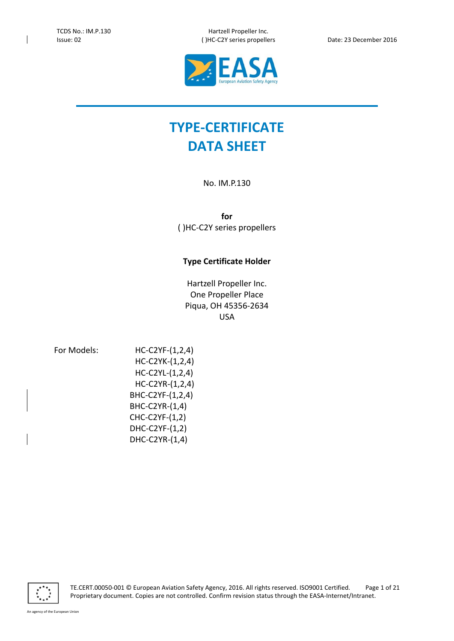TCDS No.: IM.P.130 Hartzell Propeller Inc.<br>
Issue: 02<br>
(SHC-C2Y series propeller Inc. ( )HC-C2Y series propellers Date: 23 December 2016



# **TYPE‐CERTIFICATE DATA SHEET**

No. IM.P.130

**for** ( )HC‐C2Y series propellers

# **Type Certificate Holder**

Hartzell Propeller Inc. One Propeller Place Piqua, OH 45356‐2634 USA

For Models: HC-C2YF-(1,2,4) HC‐C2YK‐(1,2,4) HC‐C2YL‐(1,2,4) HC‐C2YR‐(1,2,4) BHC‐C2YF‐(1,2,4) BHC‐C2YR‐(1,4) CHC‐C2YF‐(1,2) DHC‐C2YF‐(1,2) DHC‐C2YR‐(1,4)

 $\sum_{k \neq x^*}^{x^* \uparrow \uparrow}$ 

TE.CERT.00050‐001 © European Aviation Safety Agency, 2016. All rights reserved. ISO9001 Certified. Page 1 of 21 Proprietary document. Copies are not controlled. Confirm revision status through the EASA‐Internet/Intranet.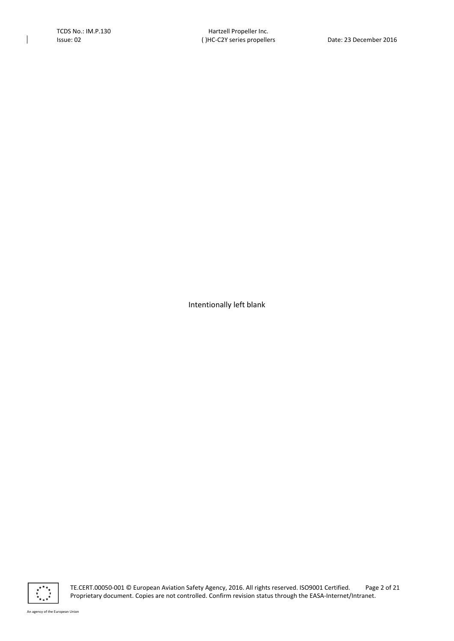Intentionally left blank



TE.CERT.00050‐001 © European Aviation Safety Agency, 2016. All rights reserved. ISO9001 Certified. Page 2 of 21 Proprietary document. Copies are not controlled. Confirm revision status through the EASA‐Internet/Intranet.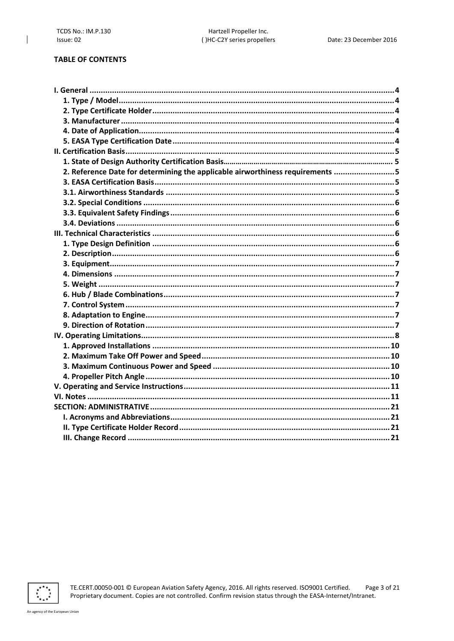# **TABLE OF CONTENTS**

| 2. Reference Date for determining the applicable airworthiness requirements 5 |
|-------------------------------------------------------------------------------|
|                                                                               |
|                                                                               |
|                                                                               |
|                                                                               |
|                                                                               |
|                                                                               |
|                                                                               |
|                                                                               |
|                                                                               |
|                                                                               |
|                                                                               |
|                                                                               |
|                                                                               |
|                                                                               |
|                                                                               |
|                                                                               |
|                                                                               |
|                                                                               |
|                                                                               |
|                                                                               |
|                                                                               |
|                                                                               |
|                                                                               |
|                                                                               |
|                                                                               |
|                                                                               |
|                                                                               |



TE.CERT.00050-001 © European Aviation Safety Agency, 2016. All rights reserved. ISO9001 Certified. Page 3 of 21 Proprietary document. Copies are not controlled. Confirm revision status through the EASA-Internet/Intranet.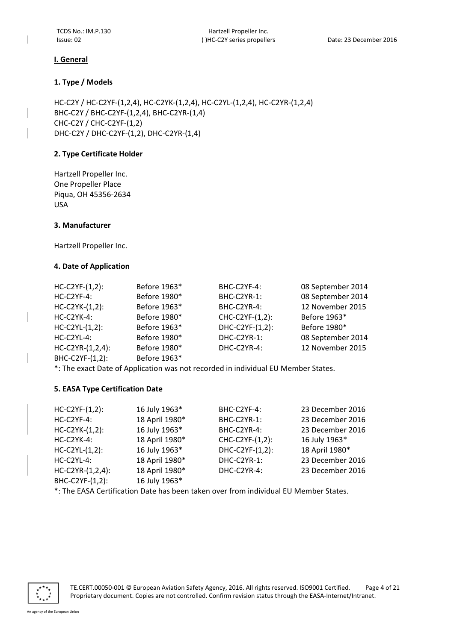# **I. General**

# **1. Type / Models**

HC‐C2Y / HC‐C2YF‐(1,2,4), HC‐C2YK‐(1,2,4), HC‐C2YL‐(1,2,4), HC‐C2YR‐(1,2,4) BHC‐C2Y / BHC‐C2YF‐(1,2,4), BHC‐C2YR‐(1,4) CHC‐C2Y / CHC‐C2YF‐(1,2) DHC‐C2Y / DHC‐C2YF‐(1,2), DHC‐C2YR‐(1,4)

# **2. Type Certificate Holder**

Hartzell Propeller Inc. One Propeller Place Piqua, OH 45356‐2634 USA

#### **3. Manufacturer**

Hartzell Propeller Inc.

#### **4. Date of Application**

| $HC-C2YF-(1,2)$ :   | Before 1963* | BHC-C2YF-4:     | 08 September 2014 |
|---------------------|--------------|-----------------|-------------------|
| $HC-C2YF-4$ :       | Before 1980* | BHC-C2YR-1:     | 08 September 2014 |
| $HC-C2YK-(1,2)$ :   | Before 1963* | BHC-C2YR-4:     | 12 November 2015  |
| <b>HC-C2YK-4:</b>   | Before 1980* | CHC-C2YF-(1,2): | Before 1963*      |
| $HC-C2YL-(1,2)$ :   | Before 1963* | DHC-C2YF-(1,2): | Before 1980*      |
| <b>HC-C2YL-4:</b>   | Before 1980* | DHC-C2YR-1:     | 08 September 2014 |
| $HC-C2YR-(1,2,4)$ : | Before 1980* | DHC-C2YR-4:     | 12 November 2015  |
| BHC-C2YF-(1,2):     | Before 1963* |                 |                   |

\*: The exact Date of Application was not recorded in individual EU Member States.

#### **5. EASA Type Certification Date**

| $HC-C2YF-(1,2)$ :   | 16 July 1963*  | BHC-C2YF-4:     | 23 December 2016 |
|---------------------|----------------|-----------------|------------------|
| HC-C2YF-4:          | 18 April 1980* | BHC-C2YR-1:     | 23 December 2016 |
| $HC-C2YK-(1,2)$ :   | 16 July 1963*  | BHC-C2YR-4:     | 23 December 2016 |
| <b>HC-C2YK-4:</b>   | 18 April 1980* | CHC-C2YF-(1,2): | 16 July 1963*    |
| $HC-C2YL-(1,2)$ :   | 16 July 1963*  | DHC-C2YF-(1,2): | 18 April 1980*   |
| <b>HC-C2YL-4:</b>   | 18 April 1980* | DHC-C2YR-1:     | 23 December 2016 |
| $HC-C2YR-(1,2,4)$ : | 18 April 1980* | DHC-C2YR-4:     | 23 December 2016 |
| BHC-C2YF-(1,2):     | 16 July 1963*  |                 |                  |

\*: The EASA Certification Date has been taken over from individual EU Member States.



TE.CERT.00050‐001 © European Aviation Safety Agency, 2016. All rights reserved. ISO9001 Certified. Page 4 of 21 Proprietary document. Copies are not controlled. Confirm revision status through the EASA‐Internet/Intranet.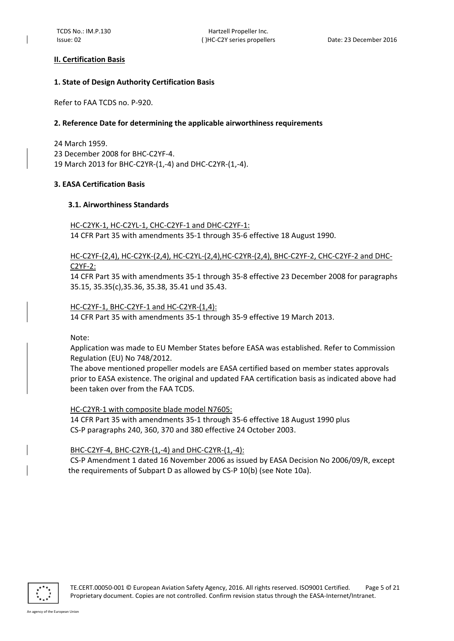#### **II. Certification Basis**

#### **1. State of Design Authority Certification Basis**

Refer to FAA TCDS no. P‐920.

## **2. Reference Date for determining the applicable airworthiness requirements**

24 March 1959. 23 December 2008 for BHC‐C2YF‐4. 19 March 2013 for BHC‐C2YR‐(1,‐4) and DHC‐C2YR‐(1,‐4).

#### **3. EASA Certification Basis**

#### **3.1. Airworthiness Standards**

HC‐C2YK‐1, HC‐C2YL‐1, CHC‐C2YF‐1 and DHC‐C2YF‐1: 14 CFR Part 35 with amendments 35‐1 through 35‐6 effective 18 August 1990.

# HC‐C2YF‐(2,4), HC‐C2YK‐(2,4), HC‐C2YL‐(2,4),HC‐C2YR‐(2,4), BHC‐C2YF‐2, CHC‐C2YF‐2 and DHC‐ C2YF‐2:

14 CFR Part 35 with amendments 35‐1 through 35‐8 effective 23 December 2008 for paragraphs 35.15, 35.35(c),35.36, 35.38, 35.41 und 35.43.

#### HC‐C2YF‐1, BHC‐C2YF‐1 and HC‐C2YR‐(1,4):

14 CFR Part 35 with amendments 35‐1 through 35‐9 effective 19 March 2013.

Note:

Application was made to EU Member States before EASA was established. Refer to Commission Regulation (EU) No 748/2012.

The above mentioned propeller models are EASA certified based on member states approvals prior to EASA existence. The original and updated FAA certification basis as indicated above had been taken over from the FAA TCDS.

#### HC‐C2YR‐1 with composite blade model N7605:

14 CFR Part 35 with amendments 35‐1 through 35‐6 effective 18 August 1990 plus CS‐P paragraphs 240, 360, 370 and 380 effective 24 October 2003.

#### BHC‐C2YF‐4, BHC‐C2YR‐(1,‐4) and DHC‐C2YR‐(1,‐4):

CS‐P Amendment 1 dated 16 November 2006 as issued by EASA Decision No 2006/09/R, except the requirements of Subpart D as allowed by CS‐P 10(b) (see Note 10a).

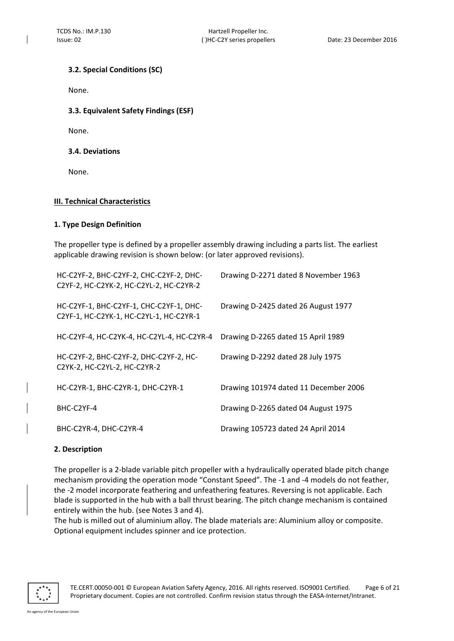## **3.2. Special Conditions (SC)**

None.

# **3.3. Equivalent Safety Findings (ESF)**

None.

#### **3.4. Deviations**

None.

# **III. Technical Characteristics**

#### **1. Type Design Definition**

The propeller type is defined by a propeller assembly drawing including a parts list. The earliest applicable drawing revision is shown below: (or later approved revisions).

| HC-C2YF-2, BHC-C2YF-2, CHC-C2YF-2, DHC-<br>C2YF-2, HC-C2YK-2, HC-C2YL-2, HC-C2YR-2 | Drawing D-2271 dated 8 November 1963  |
|------------------------------------------------------------------------------------|---------------------------------------|
| HC-C2YF-1, BHC-C2YF-1, CHC-C2YF-1, DHC-<br>C2YF-1, HC-C2YK-1, HC-C2YL-1, HC-C2YR-1 | Drawing D-2425 dated 26 August 1977   |
| HC-C2YF-4, HC-C2YK-4, HC-C2YL-4, HC-C2YR-4                                         | Drawing D-2265 dated 15 April 1989    |
| HC-C2YF-2, BHC-C2YF-2, DHC-C2YF-2, HC-<br>C2YK-2, HC-C2YL-2, HC-C2YR-2             | Drawing D-2292 dated 28 July 1975     |
| HC-C2YR-1, BHC-C2YR-1, DHC-C2YR-1                                                  | Drawing 101974 dated 11 December 2006 |
| BHC-C2YF-4                                                                         | Drawing D-2265 dated 04 August 1975   |
| BHC-C2YR-4, DHC-C2YR-4                                                             | Drawing 105723 dated 24 April 2014    |

#### **2. Description**

The propeller is a 2‐blade variable pitch propeller with a hydraulically operated blade pitch change mechanism providing the operation mode "Constant Speed". The ‐1 and ‐4 models do not feather, the -2 model incorporate feathering and unfeathering features. Reversing is not applicable. Each blade is supported in the hub with a ball thrust bearing. The pitch change mechanism is contained entirely within the hub. (see Notes 3 and 4).

The hub is milled out of aluminium alloy. The blade materials are: Aluminium alloy or composite. Optional equipment includes spinner and ice protection.



TE.CERT.00050‐001 © European Aviation Safety Agency, 2016. All rights reserved. ISO9001 Certified. Page 6 of 21 Proprietary document. Copies are not controlled. Confirm revision status through the EASA‐Internet/Intranet.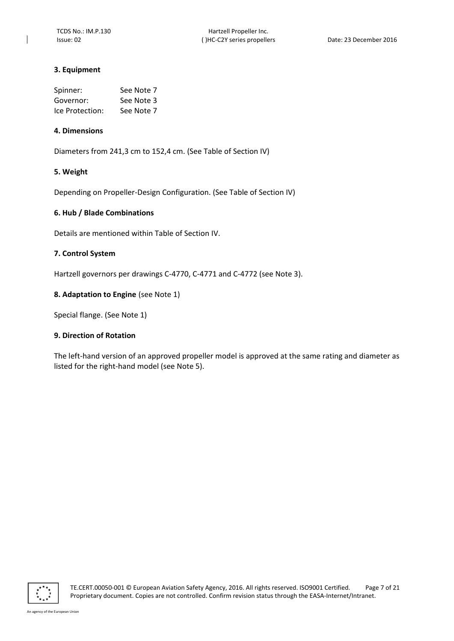#### **3. Equipment**

| Spinner:        | See Note 7 |
|-----------------|------------|
| Governor:       | See Note 3 |
| Ice Protection: | See Note 7 |

#### **4. Dimensions**

Diameters from 241,3 cm to 152,4 cm. (See Table of Section IV)

#### **5. Weight**

Depending on Propeller‐Design Configuration. (See Table of Section IV)

#### **6. Hub / Blade Combinations**

Details are mentioned within Table of Section IV.

#### **7. Control System**

Hartzell governors per drawings C‐4770, C‐4771 and C‐4772 (see Note 3).

#### **8. Adaptation to Engine** (see Note 1)

Special flange. (See Note 1)

#### **9. Direction of Rotation**

The left-hand version of an approved propeller model is approved at the same rating and diameter as listed for the right‐hand model (see Note 5).

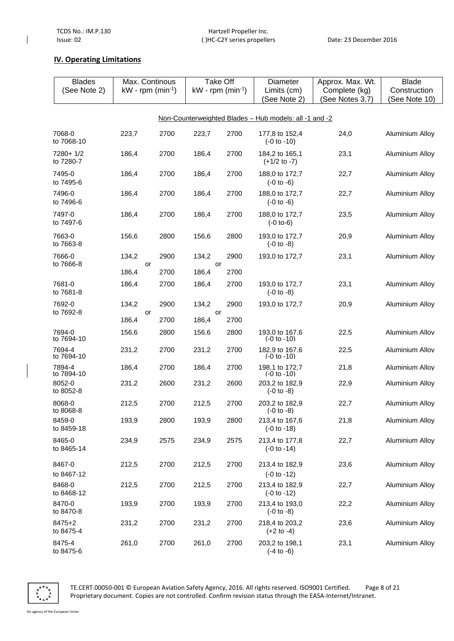# **IV. Operating Limitations**

| <b>Blades</b><br>(See Note 2)                          |             | Max. Continous<br>$kW$ - rpm (min <sup>-1</sup> ) | <b>Take Off</b><br>$kW$ - rpm (min-1) |      | Diameter<br>Limits (cm)<br>(See Note 2) | Approx. Max. Wt.<br>Complete (kg)<br>(See Notes 3,7) | <b>Blade</b><br>Construction<br>(See Note 10) |
|--------------------------------------------------------|-------------|---------------------------------------------------|---------------------------------------|------|-----------------------------------------|------------------------------------------------------|-----------------------------------------------|
| Non-Counterweighted Blades - Hub models: all -1 and -2 |             |                                                   |                                       |      |                                         |                                                      |                                               |
| 7068-0<br>to 7068-10                                   | 223,7       | 2700                                              | 223,7                                 | 2700 | 177,8 to 152,4<br>$(-0 to -10)$         | 24,0                                                 | <b>Aluminium Alloy</b>                        |
| 7280+1/2<br>to 7280-7                                  | 186,4       | 2700                                              | 186,4                                 | 2700 | 184,2 to 165,1<br>$(+1/2$ to $-7)$      | 23,1                                                 | <b>Aluminium Alloy</b>                        |
| 7495-0<br>to 7495-6                                    | 186,4       | 2700                                              | 186,4                                 | 2700 | 188,0 to 172,7<br>$(-0)$ to $-6$ )      | 22,7                                                 | <b>Aluminium Alloy</b>                        |
| 7496-0<br>to 7496-6                                    | 186,4       | 2700                                              | 186,4                                 | 2700 | 188,0 to 172,7<br>$(-0)$ to $-6$ )      | 22,7                                                 | <b>Aluminium Alloy</b>                        |
| 7497-0<br>to 7497-6                                    | 186,4       | 2700                                              | 186,4                                 | 2700 | 188,0 to 172,7<br>$(-0 to -6)$          | 23,5                                                 | <b>Aluminium Alloy</b>                        |
| 7663-0<br>to 7663-8                                    | 156,6       | 2800                                              | 156,6                                 | 2800 | 193,0 to 172,7<br>$(-0 to -8)$          | 20,9                                                 | <b>Aluminium Alloy</b>                        |
| 7666-0<br>to 7666-8                                    | 134,2<br>or | 2900                                              | 134,2<br>or                           | 2900 | 193,0 to 172,7                          | 23,1                                                 | <b>Aluminium Alloy</b>                        |
|                                                        | 186,4       | 2700                                              | 186,4                                 | 2700 |                                         |                                                      |                                               |
| 7681-0<br>to 7681-8                                    | 186,4       | 2700                                              | 186,4                                 | 2700 | 193,0 to 172,7<br>$(-0 to -8)$          | 23,1                                                 | <b>Aluminium Alloy</b>                        |
| 7692-0<br>to 7692-8                                    | 134,2<br>or | 2900                                              | 134,2<br>or                           | 2900 | 193,0 to 172,7                          | 20,9                                                 | <b>Aluminium Alloy</b>                        |
|                                                        | 186,4       | 2700                                              | 186,4                                 | 2700 |                                         |                                                      |                                               |
| 7694-0<br>to 7694-10                                   | 156,6       | 2800                                              | 156,6                                 | 2800 | 193,0 to 167,6<br>$(-0)$ to $-10$       | 22,5                                                 | <b>Aluminium Allov</b>                        |
| 7694-4<br>to 7694-10                                   | 231.2       | 2700                                              | 231.2                                 | 2700 | 182.9 to 167.6<br>$(-0)$ to $-10$       | 22.5                                                 | Aluminium Allov                               |
| 7894-4<br>to 7894-10                                   | 186.4       | 2700                                              | 186.4                                 | 2700 | 198.1 to 172.7<br>$(-0 to -10)$         | 21.8                                                 | Aluminium Allov                               |
| 8052-0<br>to 8052-8                                    | 231,2       | 2600                                              | 231,2                                 | 2600 | 203,2 to 182,9<br>$(-0 to -8)$          | 22,9                                                 | Aluminium Alloy                               |
| 8068-0<br>to 8068-8                                    | 212,5       | 2700                                              | 212,5                                 | 2700 | 203,2 to 182,9<br>$(-0 to -8)$          | 22,7                                                 | <b>Aluminium Alloy</b>                        |
| 8459-0<br>to 8459-18                                   | 193,9       | 2800                                              | 193,9                                 | 2800 | 213,4 to 167,6<br>$(-0 to -18)$         | 21,8                                                 | Aluminium Alloy                               |
| 8465-0<br>to 8465-14                                   | 234,9       | 2575                                              | 234,9                                 | 2575 | 213,4 to 177,8<br>$(-0 to -14)$         | 22,7                                                 | Aluminium Alloy                               |
| 8467-0                                                 | 212,5       | 2700                                              | 212,5                                 | 2700 | 213,4 to 182,9                          | 23,6                                                 | <b>Aluminium Alloy</b>                        |
| to 8467-12                                             |             |                                                   |                                       |      | $(-0 to -12)$                           |                                                      |                                               |
| 8468-0<br>to 8468-12                                   | 212,5       | 2700                                              | 212,5                                 | 2700 | 213,4 to 182,9<br>$(-0 to -12)$         | 22,7                                                 | Aluminium Alloy                               |
| 8470-0<br>to 8470-8                                    | 193,9       | 2700                                              | 193,9                                 | 2700 | 213,4 to 193,0<br>$(-0 to -8)$          | 22,2                                                 | Aluminium Alloy                               |
| 8475+2<br>to 8475-4                                    | 231,2       | 2700                                              | 231,2                                 | 2700 | 218,4 to 203,2<br>$(+2 \text{ to } -4)$ | 23,6                                                 | Aluminium Alloy                               |
| 8475-4<br>to 8475-6                                    | 261,0       | 2700                                              | 261,0                                 | 2700 | 203,2 to 198,1<br>$(-4 to -6)$          | 23,1                                                 | Aluminium Alloy                               |

 $\overline{\mathbb{C}}$ 

TE.CERT.00050‐001 © European Aviation Safety Agency, 2016. All rights reserved. ISO9001 Certified. Page 8 of 21 Proprietary document. Copies are not controlled. Confirm revision status through the EASA‐Internet/Intranet.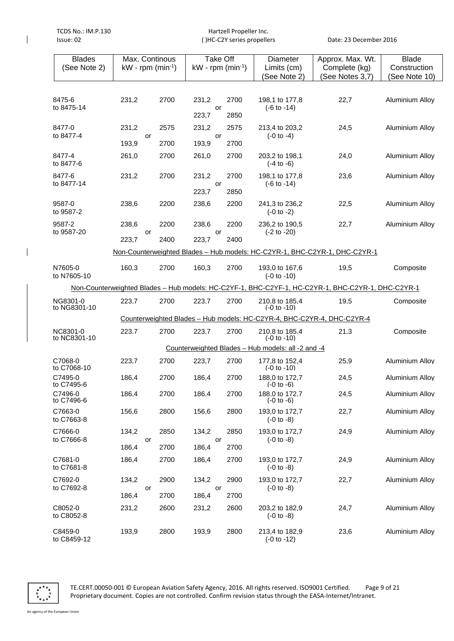$\overline{\phantom{a}}$ 

#### TCDS No.: IM.P.130 Hartzell Propeller Inc.<br>
Issue: 02 (Inc.C2Y series propeller If  $\left( \right)$ HC-C2Y series propellers Date: 23 December 2016

| <b>Blades</b>          |       | Max. Continous                  | <b>Take Off</b>                 |      | Diameter                                                               | Approx. Max. Wt.                                                                                  | <b>Blade</b>           |
|------------------------|-------|---------------------------------|---------------------------------|------|------------------------------------------------------------------------|---------------------------------------------------------------------------------------------------|------------------------|
| (See Note 2)           |       | $kW$ - rpm (min <sup>-1</sup> ) | $kW$ - rpm (min <sup>-1</sup> ) |      | Limits (cm)                                                            | Complete (kg)                                                                                     | Construction           |
|                        |       |                                 |                                 |      | (See Note 2)                                                           | (See Notes 3,7)                                                                                   | (See Note 10)          |
|                        |       |                                 |                                 |      |                                                                        |                                                                                                   |                        |
| 8475-6                 | 231,2 | 2700                            | 231,2                           | 2700 | 198,1 to 177,8                                                         | 22,7                                                                                              | <b>Aluminium Alloy</b> |
| to 8475-14             |       |                                 | or                              |      | $(-6 to -14)$                                                          |                                                                                                   |                        |
|                        |       |                                 | 223,7                           | 2850 |                                                                        |                                                                                                   |                        |
| 8477-0                 | 231,2 | 2575                            | 231,2                           | 2575 | 213,4 to 203,2                                                         | 24,5                                                                                              | <b>Aluminium Alloy</b> |
| to 8477-4              |       | or                              | or                              |      | $(-0)$ to $-4$ )                                                       |                                                                                                   |                        |
|                        | 193,9 | 2700                            | 193,9                           | 2700 |                                                                        |                                                                                                   |                        |
| 8477-4                 | 261.0 | 2700                            | 261,0                           | 2700 | 203,2 to 198,1                                                         | 24,0                                                                                              | <b>Aluminium Alloy</b> |
| to 8477-6              |       |                                 |                                 |      | $(-4 to -6)$                                                           |                                                                                                   |                        |
| 8477-6                 | 231,2 | 2700                            | 231,2                           | 2700 | 198,1 to 177,8                                                         | 23,6                                                                                              | <b>Aluminium Alloy</b> |
| to 8477-14             |       |                                 | or                              |      | $(-6 to -14)$                                                          |                                                                                                   |                        |
|                        |       |                                 | 223,7                           | 2850 |                                                                        |                                                                                                   |                        |
| 9587-0                 | 238,6 | 2200                            | 238,6                           | 2200 | 241,3 to 236,2                                                         | 22,5                                                                                              | <b>Aluminium Alloy</b> |
| to 9587-2              |       |                                 |                                 |      | $(-0)$ to $-2)$                                                        |                                                                                                   |                        |
| 9587-2                 | 238,6 | 2200                            | 238,6                           | 2200 | 236,2 to 190,5                                                         | 22,7                                                                                              | <b>Aluminium Alloy</b> |
| to 9587-20             |       | or                              | or                              |      | $(-2 to -20)$                                                          |                                                                                                   |                        |
|                        | 223,7 | 2400                            | 223,7                           | 2400 |                                                                        |                                                                                                   |                        |
|                        |       |                                 |                                 |      |                                                                        | Non-Counterweighted Blades - Hub models: HC-C2YR-1, BHC-C2YR-1, DHC-C2YR-1                        |                        |
|                        |       |                                 |                                 |      |                                                                        |                                                                                                   |                        |
| N7605-0                | 160,3 | 2700                            | 160,3                           | 2700 | 193.0 to 167.6                                                         | 19,5                                                                                              | Composite              |
| to N7605-10            |       |                                 |                                 |      | $(-0 to -10)$                                                          |                                                                                                   |                        |
|                        |       |                                 |                                 |      |                                                                        | Non-Counterweighted Blades - Hub models: HC-C2YF-1, BHC-C2YF-1, HC-C2YR-1, BHC-C2YR-1, DHC-C2YR-1 |                        |
| NG8301-0               | 223,7 | 2700                            | 223,7                           | 2700 | 210,8 to 185,4                                                         | 19,5                                                                                              | Composite              |
| to NG8301-10           |       |                                 |                                 |      | $(-0 to -10)$                                                          |                                                                                                   |                        |
|                        |       |                                 |                                 |      | Counterweighted Blades - Hub models: HC-C2YR-4, BHC-C2YR-4, DHC-C2YR-4 |                                                                                                   |                        |
| NC8301-0               |       | 2700                            | 223,7                           | 2700 | 210,8 to 185,4                                                         | 21,3                                                                                              | Composite              |
| to NC8301-10           | 223,7 |                                 |                                 |      | $(-0)$ to $-10$                                                        |                                                                                                   |                        |
|                        |       |                                 |                                 |      | Counterweighted Blades - Hub models: all -2 and -4                     |                                                                                                   |                        |
|                        |       |                                 |                                 |      |                                                                        |                                                                                                   |                        |
| C7068-0<br>to C7068-10 | 223,7 | 2700                            | 223,7                           | 2700 | 177,8 to 152,4<br>$(-0)$ to $-10$                                      | 25.9                                                                                              | Aluminium Alloy        |
| C7495-0                | 186,4 | 2700                            | 186,4                           | 2700 | 188,0 to 172,7                                                         | 24,5                                                                                              | Aluminium Alloy        |
| to C7495-6             |       |                                 |                                 |      | $(-0 to -6)$                                                           |                                                                                                   |                        |
| C7496-0                | 186,4 | 2700                            | 186,4                           | 2700 | 188,0 to 172,7                                                         | 24,5                                                                                              | Aluminium Alloy        |
| to C7496-6             |       |                                 |                                 |      | $(-0)$ to $-6$ )                                                       |                                                                                                   |                        |
| C7663-0                | 156,6 | 2800                            | 156,6                           | 2800 | 193,0 to 172,7                                                         | 22,7                                                                                              | <b>Aluminium Alloy</b> |
| to C7663-8             |       |                                 |                                 |      | $(-0 to -8)$                                                           |                                                                                                   |                        |
| C7666-0                | 134,2 | 2850                            | 134,2                           | 2850 | 193,0 to 172,7                                                         | 24,9                                                                                              | <b>Aluminium Alloy</b> |
| to C7666-8             |       | or                              | or                              |      | $(-0 to -8)$                                                           |                                                                                                   |                        |
|                        | 186,4 | 2700                            | 186,4                           | 2700 |                                                                        |                                                                                                   |                        |
| C7681-0                | 186,4 | 2700                            | 186,4                           | 2700 | 193,0 to 172,7                                                         | 24,9                                                                                              | Aluminium Alloy        |
| to C7681-8             |       |                                 |                                 |      | $(-0 to -8)$                                                           |                                                                                                   |                        |
| C7692-0                | 134,2 | 2900                            | 134,2                           | 2900 | 193,0 to 172,7                                                         | 22,7                                                                                              | Aluminium Alloy        |
| to C7692-8             |       | or                              | or                              |      | $(-0)$ to $-8$ )                                                       |                                                                                                   |                        |
|                        | 186,4 | 2700                            | 186,4                           | 2700 |                                                                        |                                                                                                   |                        |
| C8052-0                | 231,2 | 2600                            | 231,2                           | 2600 | 203,2 to 182,9                                                         | 24,7                                                                                              | <b>Aluminium Alloy</b> |
| to C8052-8             |       |                                 |                                 |      | $(-0 to -8)$                                                           |                                                                                                   |                        |
| C8459-0                | 193,9 | 2800                            | 193,9                           | 2800 | 213,4 to 182,9                                                         | 23,6                                                                                              | <b>Aluminium Alloy</b> |
| to C8459-12            |       |                                 |                                 |      | $(-0 to -12)$                                                          |                                                                                                   |                        |

 $\overline{\mathbb{C}}$ 

TE.CERT.00050‐001 © European Aviation Safety Agency, 2016. All rights reserved. ISO9001 Certified. Page 9 of 21 Proprietary document. Copies are not controlled. Confirm revision status through the EASA‐Internet/Intranet.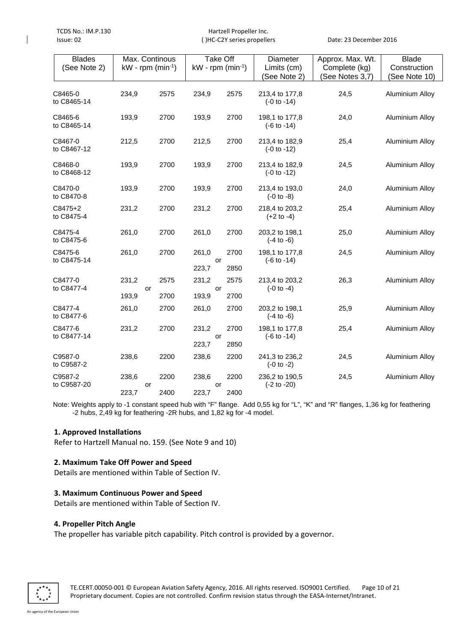#### TCDS No.: IM.P.130 Hartzell Propeller Inc.<br>
Issue: 02<br>
(SHC-C2Y series propeller Inc. ( )HC-C2Y series propellers Date: 23 December 2016

| <b>Blades</b><br>(See Note 2) |                | Max. Continous<br>$kW$ - rpm (min <sup>-1</sup> ) | Take Off<br>$kW$ - rpm (min <sup>-1</sup> ) |              | Diameter<br>Limits (cm)<br>(See Note 2) | Approx. Max. Wt.<br>Complete (kg)<br>(See Notes 3,7) | <b>Blade</b><br>Construction<br>(See Note 10) |
|-------------------------------|----------------|---------------------------------------------------|---------------------------------------------|--------------|-----------------------------------------|------------------------------------------------------|-----------------------------------------------|
| C8465-0<br>to C8465-14        | 234,9          | 2575                                              | 234,9                                       | 2575         | 213,4 to 177,8<br>$(-0)$ to $-14$ )     | 24,5                                                 | <b>Aluminium Alloy</b>                        |
| C8465-6<br>to C8465-14        | 193,9          | 2700                                              | 193,9                                       | 2700         | 198,1 to 177,8<br>$(-6 to -14)$         | 24,0                                                 | Aluminium Alloy                               |
| C8467-0<br>to C8467-12        | 212,5          | 2700                                              | 212,5                                       | 2700         | 213,4 to 182,9<br>$(-0 to -12)$         | 25,4                                                 | <b>Aluminium Alloy</b>                        |
| C8468-0<br>to C8468-12        | 193,9          | 2700                                              | 193,9                                       | 2700         | 213,4 to 182,9<br>$(-0)$ to $-12$ )     | 24,5                                                 | Aluminium Alloy                               |
| C8470-0<br>to C8470-8         | 193,9          | 2700                                              | 193,9                                       | 2700         | 213,4 to 193,0<br>$(-0 to -8)$          | 24,0                                                 | <b>Aluminium Alloy</b>                        |
| C8475+2<br>to C8475-4         | 231,2          | 2700                                              | 231,2                                       | 2700         | 218,4 to 203,2<br>$(+2 \text{ to } -4)$ | 25,4                                                 | Aluminium Alloy                               |
| C8475-4<br>to C8475-6         | 261,0          | 2700                                              | 261,0                                       | 2700         | 203,2 to 198,1<br>$(-4 to -6)$          | 25,0                                                 | <b>Aluminium Alloy</b>                        |
| C8475-6<br>to C8475-14        | 261,0          | 2700                                              | 261,0<br>or<br>223,7                        | 2700<br>2850 | 198,1 to 177,8<br>$(-6 to -14)$         | 24,5                                                 | Aluminium Alloy                               |
| C8477-0<br>to C8477-4         | 231,2<br>193,9 | 2575<br>or<br>2700                                | 231,2<br>or<br>193,9                        | 2575<br>2700 | 213,4 to 203,2<br>$(-0)$ to $-4)$       | 26,3                                                 | <b>Aluminium Alloy</b>                        |
| C8477-4<br>to C8477-6         | 261,0          | 2700                                              | 261,0                                       | 2700         | 203,2 to 198,1<br>$(-4 to -6)$          | 25,9                                                 | <b>Aluminium Alloy</b>                        |
| C8477-6<br>to C8477-14        | 231,2          | 2700                                              | 231,2<br>or<br>223,7                        | 2700<br>2850 | 198,1 to 177,8<br>$(-6 to -14)$         | 25,4                                                 | <b>Aluminium Alloy</b>                        |
| C9587-0<br>to C9587-2         | 238,6          | 2200                                              | 238,6                                       | 2200         | 241,3 to 236,2<br>$(-0 to -2)$          | 24,5                                                 | <b>Aluminium Alloy</b>                        |
| C9587-2<br>to C9587-20        | 238,6<br>223,7 | 2200<br>or<br>2400                                | 238,6<br>or<br>223,7                        | 2200<br>2400 | 236,2 to 190,5<br>$(-2 to -20)$         | 24,5                                                 | Aluminium Alloy                               |

Note: Weights apply to -1 constant speed hub with "F" flange. Add 0,55 kg for "L", "K" and "R" flanges, 1,36 kg for feathering -2 hubs, 2,49 kg for feathering -2R hubs, and 1,82 kg for -4 model.

#### **1. Approved Installations**

Refer to Hartzell Manual no. 159. (See Note 9 and 10)

# **2. Maximum Take Off Power and Speed**

Details are mentioned within Table of Section IV.

#### **3. Maximum Continuous Power and Speed**

Details are mentioned within Table of Section IV.

#### **4. Propeller Pitch Angle**

The propeller has variable pitch capability. Pitch control is provided by a governor.



TE.CERT.00050‐001 © European Aviation Safety Agency, 2016. All rights reserved. ISO9001 Certified. Page 10 of 21 Proprietary document. Copies are not controlled. Confirm revision status through the EASA‐Internet/Intranet.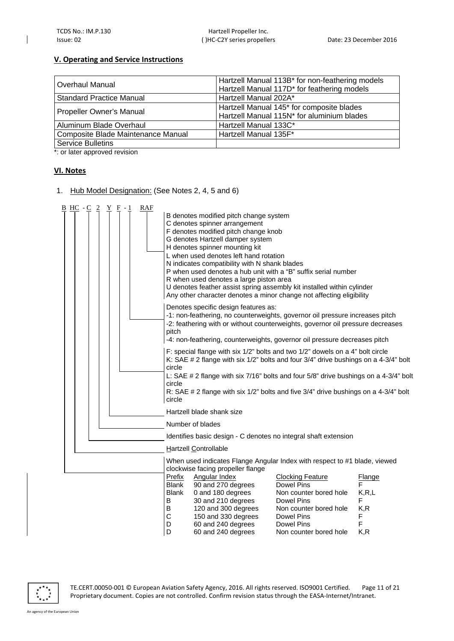# **V. Operating and Service Instructions**

| <b>Overhaul Manual</b>             | Hartzell Manual 113B* for non-feathering models<br>Hartzell Manual 117D* for feathering models |
|------------------------------------|------------------------------------------------------------------------------------------------|
| <b>Standard Practice Manual</b>    | Hartzell Manual 202A*                                                                          |
| Propeller Owner's Manual           | Hartzell Manual 145* for composite blades                                                      |
|                                    | Hartzell Manual 115N* for aluminium blades                                                     |
| Aluminum Blade Overhaul            | Hartzell Manual 133C*                                                                          |
| Composite Blade Maintenance Manual | Hartzell Manual 135F*                                                                          |
| <b>Service Bulletins</b>           |                                                                                                |

\*: or later approved revision

#### **VI. Notes**

1. Hub Model Designation: (See Notes 2, 4, 5 and 6)

| <u>B HC - C 2 Y F - 1</u> | RAF |                                                          |                                                                                                                                                                                                                                                                                                                             |                                                                                                                                                                                                                                                                                                                                                     |                                                     |
|---------------------------|-----|----------------------------------------------------------|-----------------------------------------------------------------------------------------------------------------------------------------------------------------------------------------------------------------------------------------------------------------------------------------------------------------------------|-----------------------------------------------------------------------------------------------------------------------------------------------------------------------------------------------------------------------------------------------------------------------------------------------------------------------------------------------------|-----------------------------------------------------|
|                           |     |                                                          | B denotes modified pitch change system<br>C denotes spinner arrangement<br>F denotes modified pitch change knob<br>G denotes Hartzell damper system<br>H denotes spinner mounting kit<br>L when used denotes left hand rotation<br>N indicates compatibility with N shank blades<br>R when used denotes a large piston area | P when used denotes a hub unit with a "B" suffix serial number<br>U denotes feather assist spring assembly kit installed within cylinder<br>Any other character denotes a minor change not affecting eligibility                                                                                                                                    |                                                     |
|                           |     | pitch                                                    | Denotes specific design features as:                                                                                                                                                                                                                                                                                        | -1: non-feathering, no counterweights, governor oil pressure increases pitch<br>-2: feathering with or without counterweights, governor oil pressure decreases<br>-4: non-feathering, counterweights, governor oil pressure decreases pitch                                                                                                         |                                                     |
|                           |     | circle<br>circle<br>circle                               |                                                                                                                                                                                                                                                                                                                             | F: special flange with six 1/2" bolts and two 1/2" dowels on a 4" bolt circle<br>K: SAE # 2 flange with six 1/2" bolts and four 3/4" drive bushings on a 4-3/4" bolt<br>L: SAE # 2 flange with six 7/16" bolts and four 5/8" drive bushings on a 4-3/4" bolt<br>R: SAE # 2 flange with six 1/2" bolts and five 3/4" drive bushings on a 4-3/4" bolt |                                                     |
|                           |     |                                                          | Hartzell blade shank size                                                                                                                                                                                                                                                                                                   |                                                                                                                                                                                                                                                                                                                                                     |                                                     |
|                           |     |                                                          | Number of blades                                                                                                                                                                                                                                                                                                            |                                                                                                                                                                                                                                                                                                                                                     |                                                     |
|                           |     |                                                          |                                                                                                                                                                                                                                                                                                                             | Identifies basic design - C denotes no integral shaft extension                                                                                                                                                                                                                                                                                     |                                                     |
|                           |     |                                                          | Hartzell Controllable                                                                                                                                                                                                                                                                                                       |                                                                                                                                                                                                                                                                                                                                                     |                                                     |
|                           |     | Prefix<br><b>Blank</b><br>Blank<br>В<br>В<br>C<br>D<br>D | clockwise facing propeller flange<br><b>Angular Index</b><br>90 and 270 degrees<br>0 and 180 degrees<br>30 and 210 degrees<br>120 and 300 degrees<br>150 and 330 degrees<br>60 and 240 degrees<br>60 and 240 degrees                                                                                                        | When used indicates Flange Angular Index with respect to #1 blade, viewed<br><b>Clocking Feature</b><br>Dowel Pins<br>Non counter bored hole<br>Dowel Pins<br>Non counter bored hole<br>Dowel Pins<br>Dowel Pins<br>Non counter bored hole                                                                                                          | Flange<br>F<br>K, R, L<br>F<br>K,R<br>F<br>F<br>K,R |

 $\overline{\mathbb{C}}$ 

TE.CERT.00050‐001 © European Aviation Safety Agency, 2016. All rights reserved. ISO9001 Certified. Page 11 of 21 Proprietary document. Copies are not controlled. Confirm revision status through the EASA‐Internet/Intranet.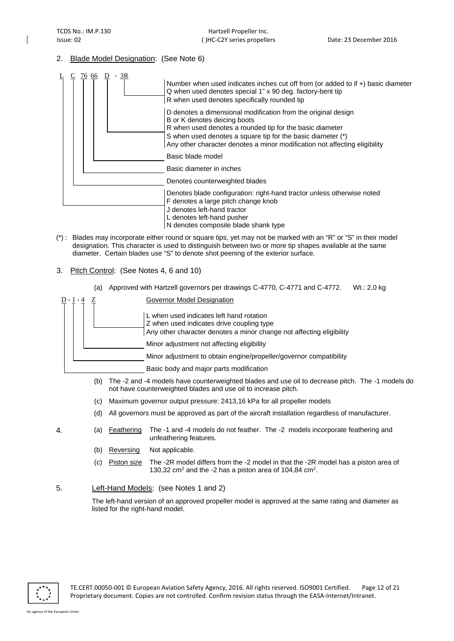2. Blade Model Designation: (See Note 6)

| 3R<br>-66<br>76 |                                                                                                                                                                                                                                                                                                        |
|-----------------|--------------------------------------------------------------------------------------------------------------------------------------------------------------------------------------------------------------------------------------------------------------------------------------------------------|
|                 | Number when used indicates inches cut off from (or added to if +) basic diameter<br>Q when used denotes special 1" x 90 deg. factory-bent tip<br>R when used denotes specifically rounded tip                                                                                                          |
|                 | D denotes a dimensional modification from the original design<br>B or K denotes deicing boots<br>R when used denotes a rounded tip for the basic diameter<br>S when used denotes a square tip for the basic diameter (*)<br>Any other character denotes a minor modification not affecting eligibility |
|                 | Basic blade model                                                                                                                                                                                                                                                                                      |
|                 | Basic diameter in inches                                                                                                                                                                                                                                                                               |
|                 | Denotes counterweighted blades                                                                                                                                                                                                                                                                         |
|                 | Denotes blade configuration: right-hand tractor unless otherwise noted<br>F denotes a large pitch change knob<br>J denotes left-hand tractor<br>L denotes left-hand pusher                                                                                                                             |

- N denotes composite blade shank type
- (\*) : Blades may incorporate either round or square tips, yet may not be marked with an "R" or "S" in their model designation. This character is used to distinguish between two or more tip shapes available at the same diameter. Certain blades use "S" to denote shot peening of the exterior surface.
- 3. Pitch Control: (See Notes 4, 6 and 10)
	- (a) Approved with Hartzell governors per drawings C-4770, C-4771 and C-4772. Wt.: 2,0 kg



- (b) The -2 and -4 models have counterweighted blades and use oil to decrease pitch. The -1 models do not have counterweighted blades and use oil to increase pitch.
- (c) Maximum governor output pressure: 2413,16 kPa for all propeller models
- (d) All governors must be approved as part of the aircraft installation regardless of manufacturer.
- 4. (a) Feathering The -1 and -4 models do not feather. The -2 models incorporate feathering and unfeathering features.
	- (b) Reversing Not applicable.
	- (c) Piston size The -2R model differs from the -2 model in that the -2R model has a piston area of 130,32  $\text{cm}^2$  and the -2 has a piston area of 104,84  $\text{cm}^2$ .
- 5. Left-Hand Models: (see Notes 1 and 2)

 The left-hand version of an approved propeller model is approved at the same rating and diameter as listed for the right-hand model.

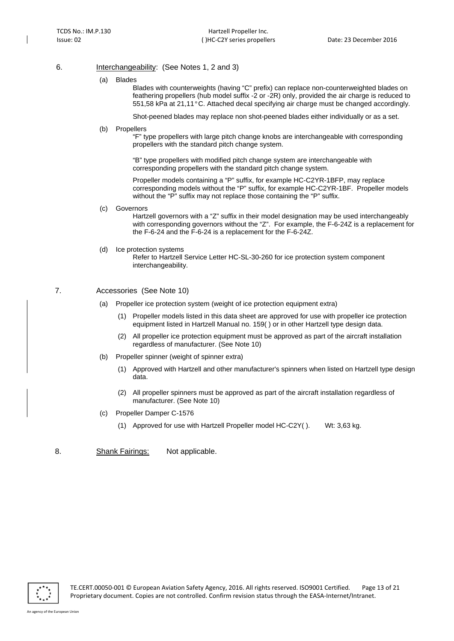#### 6. Interchangeability: (See Notes 1, 2 and 3)

(a) Blades

 Blades with counterweights (having "C" prefix) can replace non-counterweighted blades on feathering propellers (hub model suffix -2 or -2R) only, provided the air charge is reduced to 551,58 kPa at 21,11°C. Attached decal specifying air charge must be changed accordingly.

Shot-peened blades may replace non shot-peened blades either individually or as a set.

(b) Propellers

 "F" type propellers with large pitch change knobs are interchangeable with corresponding propellers with the standard pitch change system.

 "B" type propellers with modified pitch change system are interchangeable with corresponding propellers with the standard pitch change system.

 Propeller models containing a "P" suffix, for example HC-C2YR-1BFP, may replace corresponding models without the "P" suffix, for example HC-C2YR-1BF. Propeller models without the "P" suffix may not replace those containing the "P" suffix.

#### (c) Governors

 Hartzell governors with a "Z" suffix in their model designation may be used interchangeably with corresponding governors without the "Z". For example, the F-6-24Z is a replacement for the F-6-24 and the F-6-24 is a replacement for the F-6-24Z.

#### (d) Ice protection systems

 Refer to Hartzell Service Letter HC-SL-30-260 for ice protection system component interchangeability.

#### 7. Accessories (See Note 10)

- (a) Propeller ice protection system (weight of ice protection equipment extra)
	- (1) Propeller models listed in this data sheet are approved for use with propeller ice protection equipment listed in Hartzell Manual no. 159( ) or in other Hartzell type design data.
	- (2) All propeller ice protection equipment must be approved as part of the aircraft installation regardless of manufacturer. (See Note 10)
- (b) Propeller spinner (weight of spinner extra)
	- (1) Approved with Hartzell and other manufacturer's spinners when listed on Hartzell type design data.
	- (2) All propeller spinners must be approved as part of the aircraft installation regardless of manufacturer. (See Note 10)
- (c) Propeller Damper C-1576
	- (1) Approved for use with Hartzell Propeller model HC-C2Y( ). Wt: 3,63 kg.
- 8. Shank Fairings: Not applicable.

TE.CERT.00050‐001 © European Aviation Safety Agency, 2016. All rights reserved. ISO9001 Certified. Page 13 of 21 Proprietary document. Copies are not controlled. Confirm revision status through the EASA‐Internet/Intranet.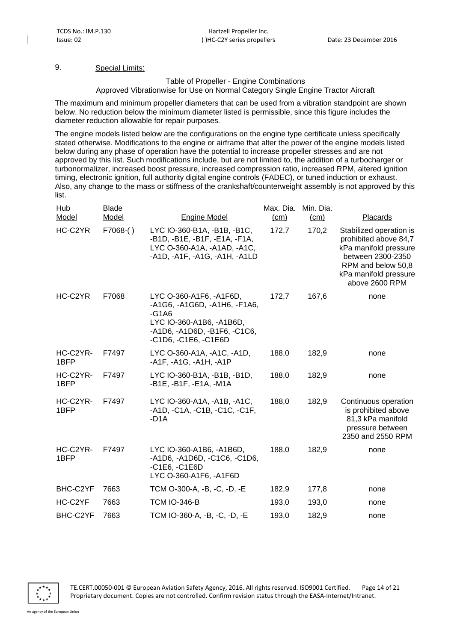#### 9. Special Limits:

# Table of Propeller - Engine Combinations

# Approved Vibrationwise for Use on Normal Category Single Engine Tractor Aircraft

The maximum and minimum propeller diameters that can be used from a vibration standpoint are shown below. No reduction below the minimum diameter listed is permissible, since this figure includes the diameter reduction allowable for repair purposes.

The engine models listed below are the configurations on the engine type certificate unless specifically stated otherwise. Modifications to the engine or airframe that alter the power of the engine models listed below during any phase of operation have the potential to increase propeller stresses and are not approved by this list. Such modifications include, but are not limited to, the addition of a turbocharger or turbonormalizer, increased boost pressure, increased compression ratio, increased RPM, altered ignition timing, electronic ignition, full authority digital engine controls (FADEC), or tuned induction or exhaust. Also, any change to the mass or stiffness of the crankshaft/counterweight assembly is not approved by this list.

| Hub<br>Model     | <b>Blade</b><br>Model | <b>Engine Model</b>                                                                                                                                    | Max. Dia.<br>(cm) | Min. Dia.<br>(cm) | Placards                                                                                                                                                        |
|------------------|-----------------------|--------------------------------------------------------------------------------------------------------------------------------------------------------|-------------------|-------------------|-----------------------------------------------------------------------------------------------------------------------------------------------------------------|
| HC-C2YR          | $F7068-()$            | LYC IO-360-B1A, -B1B, -B1C,<br>-B1D, -B1E, -B1F, -E1A, -F1A,<br>LYC O-360-A1A, -A1AD, -A1C,<br>-A1D, -A1F, -A1G, -A1H, -A1LD                           | 172,7             | 170,2             | Stabilized operation is<br>prohibited above 84,7<br>kPa manifold pressure<br>between 2300-2350<br>RPM and below 50,8<br>kPa manifold pressure<br>above 2600 RPM |
| HC-C2YR          | F7068                 | LYC O-360-A1F6, -A1F6D,<br>-A1G6, -A1G6D, -A1H6, -F1A6,<br>$-G1A6$<br>LYC IO-360-A1B6, -A1B6D,<br>-A1D6, -A1D6D, -B1F6, -C1C6,<br>-C1D6, -C1E6, -C1E6D | 172,7             | 167,6             | none                                                                                                                                                            |
| HC-C2YR-<br>1BFP | F7497                 | LYC O-360-A1A, -A1C, -A1D,<br>-A1F, -A1G, -A1H, -A1P                                                                                                   | 188,0             | 182,9             | none                                                                                                                                                            |
| HC-C2YR-<br>1BFP | F7497                 | LYC IO-360-B1A, -B1B, -B1D,<br>-B1E, -B1F, -E1A, -M1A                                                                                                  | 188,0             | 182,9             | none                                                                                                                                                            |
| HC-C2YR-<br>1BFP | F7497                 | LYC IO-360-A1A, -A1B, -A1C,<br>-A1D, -C1A, -C1B, -C1C, -C1F,<br>$-D1A$                                                                                 | 188,0             | 182,9             | Continuous operation<br>is prohibited above<br>81,3 kPa manifold<br>pressure between<br>2350 and 2550 RPM                                                       |
| HC-C2YR-<br>1BFP | F7497                 | LYC IO-360-A1B6, -A1B6D,<br>-A1D6, -A1D6D, -C1C6, -C1D6,<br>$-C1E6, -C1E6D$<br>LYC O-360-A1F6, -A1F6D                                                  | 188,0             | 182,9             | none                                                                                                                                                            |
| BHC-C2YF         | 7663                  | TCM O-300-A, -B, -C, -D, -E                                                                                                                            | 182,9             | 177,8             | none                                                                                                                                                            |
| HC-C2YF          | 7663                  | <b>TCM IO-346-B</b>                                                                                                                                    | 193,0             | 193,0             | none                                                                                                                                                            |
| BHC-C2YF         | 7663                  | TCM IO-360-A, -B, -C, -D, -E                                                                                                                           | 193,0             | 182,9             | none                                                                                                                                                            |
|                  |                       |                                                                                                                                                        |                   |                   |                                                                                                                                                                 |



TE.CERT.00050‐001 © European Aviation Safety Agency, 2016. All rights reserved. ISO9001 Certified. Page 14 of 21 Proprietary document. Copies are not controlled. Confirm revision status through the EASA‐Internet/Intranet.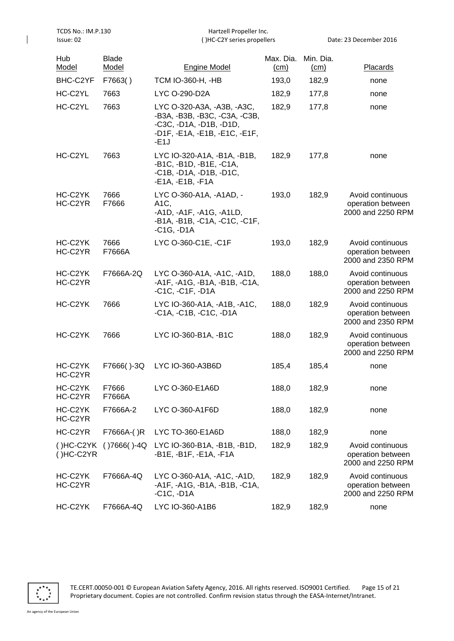| Hub<br>Model       | <b>Blade</b><br>Model | <b>Engine Model</b>                                                                                                             | Max. Dia.<br>(cm) | Min. Dia.<br>(cm) | Placards                                                   |
|--------------------|-----------------------|---------------------------------------------------------------------------------------------------------------------------------|-------------------|-------------------|------------------------------------------------------------|
| BHC-C2YF           | F7663()               | TCM IO-360-H, -HB                                                                                                               | 193,0             | 182,9             | none                                                       |
| HC-C2YL            | 7663                  | LYC O-290-D2A                                                                                                                   | 182,9             | 177,8             | none                                                       |
| HC-C2YL            | 7663                  | LYC O-320-A3A, -A3B, -A3C,<br>-B3A, -B3B, -B3C, -C3A, -C3B,<br>-C3C, -D1A, -D1B, -D1D,<br>-D1F, -E1A, -E1B, -E1C, -E1F,<br>-E1J | 182,9             | 177,8             | none                                                       |
| HC-C2YL            | 7663                  | LYC IO-320-A1A, -B1A, -B1B,<br>-B1C, -B1D, -B1E, -C1A,<br>-C1B, -D1A, -D1B, -D1C,<br>$-E1A, -E1B, -F1A$                         | 182,9             | 177,8             | none                                                       |
| HC-C2YK<br>HC-C2YR | 7666<br>F7666         | LYC O-360-A1A, -A1AD, -<br>A <sub>1</sub> C,<br>-A1D, -A1F, -A1G, -A1LD,<br>-B1A, -B1B, -C1A, -C1C, -C1F,<br>$-C1G, -D1A$       | 193,0             | 182,9             | Avoid continuous<br>operation between<br>2000 and 2250 RPM |
| HC-C2YK<br>HC-C2YR | 7666<br>F7666A        | LYC O-360-C1E, -C1F                                                                                                             | 193,0             | 182,9             | Avoid continuous<br>operation between<br>2000 and 2350 RPM |
| HC-C2YK<br>HC-C2YR | F7666A-2Q             | LYC O-360-A1A, -A1C, -A1D,<br>-A1F, -A1G, -B1A, -B1B, -C1A,<br>-C1C, -C1F, -D1A                                                 | 188,0             | 188,0             | Avoid continuous<br>operation between<br>2000 and 2250 RPM |
| HC-C2YK            | 7666                  | LYC IO-360-A1A, -A1B, -A1C,<br>-C1A, -C1B, -C1C, -D1A                                                                           | 188,0             | 182,9             | Avoid continuous<br>operation between<br>2000 and 2350 RPM |
| HC-C2YK            | 7666                  | LYC IO-360-B1A, -B1C                                                                                                            | 188,0             | 182,9             | Avoid continuous<br>operation between<br>2000 and 2250 RPM |
| HC-C2YK<br>HC-C2YR | F7666()-3Q            | LYC IO-360-A3B6D                                                                                                                | 185,4             | 185,4             | none                                                       |
| HC-C2YK<br>HC-C2YR | F7666<br>F7666A       | LYC O-360-E1A6D                                                                                                                 | 188,0             | 182,9             | none                                                       |
| HC-C2YK<br>HC-C2YR | F7666A-2              | LYC O-360-A1F6D                                                                                                                 | 188,0             | 182,9             | none                                                       |
| HC-C2YR            | F7666A-()R            | LYC TO-360-E1A6D                                                                                                                | 188,0             | 182,9             | none                                                       |
| $()HC-C2YR$        | ()HC-C2YK ()7666()-4Q | LYC IO-360-B1A, -B1B, -B1D,<br>-B1E, -B1F, -E1A, -F1A                                                                           | 182,9             | 182,9             | Avoid continuous<br>operation between<br>2000 and 2250 RPM |
| HC-C2YK<br>HC-C2YR | F7666A-4Q             | LYC O-360-A1A, -A1C, -A1D,<br>-A1F, -A1G, -B1A, -B1B, -C1A,<br>$-C1C, -D1A$                                                     | 182,9             | 182,9             | Avoid continuous<br>operation between<br>2000 and 2250 RPM |
| HC-C2YK            | F7666A-4Q             | LYC IO-360-A1B6                                                                                                                 | 182,9             | 182,9             | none                                                       |

 $\overline{\mathbb{C}}$ 

TE.CERT.00050‐001 © European Aviation Safety Agency, 2016. All rights reserved. ISO9001 Certified. Page 15 of 21 Proprietary document. Copies are not controlled. Confirm revision status through the EASA‐Internet/Intranet.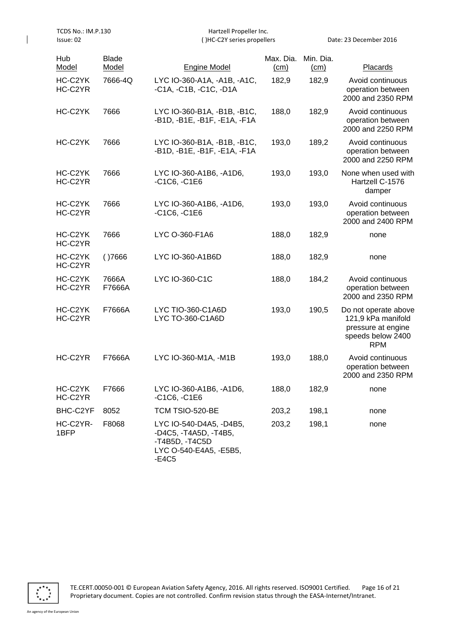TCDS No.: IM.P.130 Hartzell Propeller Inc.<br>
Issue: 02 (Inc.C2Y series propeller If  $\left( \right)$ HC-C2Y series propellers Date: 23 December 2016

| Hub<br><b>Model</b> | <b>Blade</b><br>Model | <b>Engine Model</b>                                                                                     | Max. Dia.<br>(cm) | Min. Dia.<br>(cm) | Placards                                                                                            |
|---------------------|-----------------------|---------------------------------------------------------------------------------------------------------|-------------------|-------------------|-----------------------------------------------------------------------------------------------------|
| HC-C2YK<br>HC-C2YR  | 7666-4Q               | LYC IO-360-A1A, -A1B, -A1C,<br>-C1A, -C1B, -C1C, -D1A                                                   | 182,9             | 182,9             | Avoid continuous<br>operation between<br>2000 and 2350 RPM                                          |
| HC-C2YK             | 7666                  | LYC IO-360-B1A, -B1B, -B1C,<br>-B1D, -B1E, -B1F, -E1A, -F1A                                             | 188,0             | 182,9             | Avoid continuous<br>operation between<br>2000 and 2250 RPM                                          |
| HC-C2YK             | 7666                  | LYC IO-360-B1A, -B1B, -B1C,<br>-B1D, -B1E, -B1F, -E1A, -F1A                                             | 193,0             | 189,2             | Avoid continuous<br>operation between<br>2000 and 2250 RPM                                          |
| HC-C2YK<br>HC-C2YR  | 7666                  | LYC IO-360-A1B6, -A1D6,<br>$-C1C6, -C1E6$                                                               | 193,0             | 193,0             | None when used with<br>Hartzell C-1576<br>damper                                                    |
| HC-C2YK<br>HC-C2YR  | 7666                  | LYC IO-360-A1B6, -A1D6,<br>-C1C6, -C1E6                                                                 | 193,0             | 193,0             | Avoid continuous<br>operation between<br>2000 and 2400 RPM                                          |
| HC-C2YK<br>HC-C2YR  | 7666                  | LYC O-360-F1A6                                                                                          | 188,0             | 182,9             | none                                                                                                |
| HC-C2YK<br>HC-C2YR  | ( )7666               | LYC IO-360-A1B6D                                                                                        | 188,0             | 182,9             | none                                                                                                |
| HC-C2YK<br>HC-C2YR  | 7666A<br>F7666A       | LYC IO-360-C1C                                                                                          | 188,0             | 184,2             | Avoid continuous<br>operation between<br>2000 and 2350 RPM                                          |
| HC-C2YK<br>HC-C2YR  | F7666A                | LYC TIO-360-C1A6D<br>LYC TO-360-C1A6D                                                                   | 193,0             | 190,5             | Do not operate above<br>121,9 kPa manifold<br>pressure at engine<br>speeds below 2400<br><b>RPM</b> |
| HC-C2YR             | F7666A                | LYC IO-360-M1A, -M1B                                                                                    | 193,0             | 188,0             | Avoid continuous<br>operation between<br>2000 and 2350 RPM                                          |
| HC-C2YK<br>HC-C2YR  | F7666                 | LYC IO-360-A1B6, -A1D6,<br>-C1C6, -C1E6                                                                 | 188,0             | 182,9             | none                                                                                                |
| BHC-C2YF            | 8052                  | TCM TSIO-520-BE                                                                                         | 203,2             | 198,1             | none                                                                                                |
| HC-C2YR-<br>1BFP    | F8068                 | LYC IO-540-D4A5, -D4B5,<br>-D4C5, -T4A5D, -T4B5,<br>-T4B5D, -T4C5D<br>LYC O-540-E4A5, -E5B5,<br>$-E4C5$ | 203,2             | 198,1             | none                                                                                                |

 $\overline{\mathbb{C}}$ 

TE.CERT.00050‐001 © European Aviation Safety Agency, 2016. All rights reserved. ISO9001 Certified. Page 16 of 21 Proprietary document. Copies are not controlled. Confirm revision status through the EASA‐Internet/Intranet.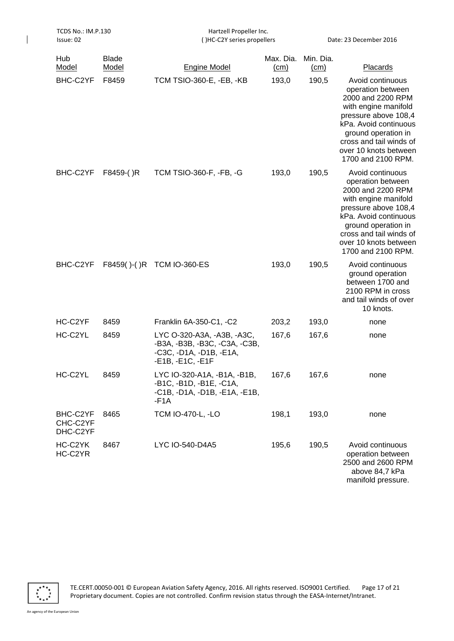| Hub<br>Model                     | <b>Blade</b><br><b>Model</b> | <b>Engine Model</b>                                                                                        | Max. Dia.<br>(cm) | Min. Dia.<br>(cm) | <b>Placards</b>                                                                                                                                                                                                                      |
|----------------------------------|------------------------------|------------------------------------------------------------------------------------------------------------|-------------------|-------------------|--------------------------------------------------------------------------------------------------------------------------------------------------------------------------------------------------------------------------------------|
| BHC-C2YF                         | F8459                        | TCM TSIO-360-E, -EB, -KB                                                                                   | 193,0             | 190,5             | Avoid continuous<br>operation between<br>2000 and 2200 RPM<br>with engine manifold<br>pressure above 108,4<br>kPa. Avoid continuous<br>ground operation in<br>cross and tail winds of<br>over 10 knots between<br>1700 and 2100 RPM. |
| BHC-C2YF                         | F8459-()R                    | TCM TSIO-360-F, -FB, -G                                                                                    | 193,0             | 190,5             | Avoid continuous<br>operation between<br>2000 and 2200 RPM<br>with engine manifold<br>pressure above 108,4<br>kPa. Avoid continuous<br>ground operation in<br>cross and tail winds of<br>over 10 knots between<br>1700 and 2100 RPM. |
| BHC-C2YF                         |                              | F8459()-()R TCM IO-360-ES                                                                                  | 193,0             | 190,5             | Avoid continuous<br>ground operation<br>between 1700 and<br>2100 RPM in cross<br>and tail winds of over<br>10 knots.                                                                                                                 |
| HC-C2YF                          | 8459                         | Franklin 6A-350-C1, -C2                                                                                    | 203,2             | 193,0             | none                                                                                                                                                                                                                                 |
| HC-C2YL                          | 8459                         | LYC O-320-A3A, -A3B, -A3C,<br>-B3A, -B3B, -B3C, -C3A, -C3B,<br>-C3C, -D1A, -D1B, -E1A,<br>-E1B, -E1C, -E1F | 167,6             | 167,6             | none                                                                                                                                                                                                                                 |
| HC-C2YL                          | 8459                         | LYC IO-320-A1A, -B1A, -B1B,<br>-B1C, -B1D, -B1E, -C1A,<br>-C1B, -D1A, -D1B, -E1A, -E1B,<br>$-F1A$          | 167,6             | 167,6             | none                                                                                                                                                                                                                                 |
| BHC-C2YF<br>CHC-C2YF<br>DHC-C2YF | 8465                         | TCM IO-470-L, -LO                                                                                          | 198,1             | 193,0             | none                                                                                                                                                                                                                                 |
| HC-C2YK<br>HC-C2YR               | 8467                         | LYC IO-540-D4A5                                                                                            | 195,6             | 190,5             | Avoid continuous<br>operation between<br>2500 and 2600 RPM<br>above 84,7 kPa<br>manifold pressure.                                                                                                                                   |

TE.CERT.00050‐001 © European Aviation Safety Agency, 2016. All rights reserved. ISO9001 Certified. Page 17 of 21 Proprietary document. Copies are not controlled. Confirm revision status through the EASA‐Internet/Intranet.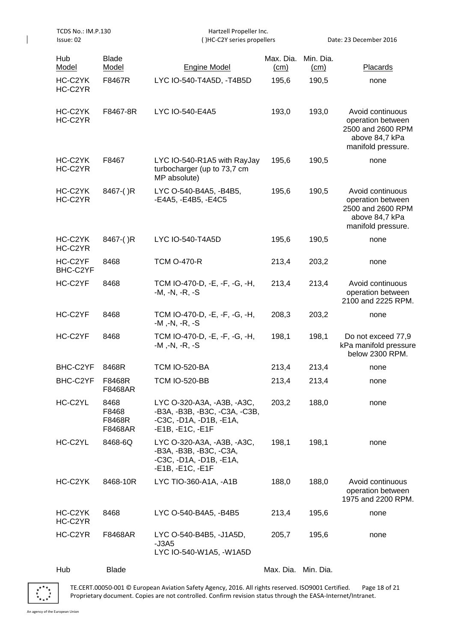TCDS No.: IM.P.130 Hartzell Propeller Inc.<br>
Issue: 02 (Inc.C2Y series propeller If  $\left( \right)$ HC-C2Y series propellers Date: 23 December 2016

| Hub<br>Model        | <b>Blade</b><br>Model              | <b>Engine Model</b>                                                                                        | Max. Dia.<br>(cm)   | Min. Dia.<br>(cm) | Placards                                                                                           |
|---------------------|------------------------------------|------------------------------------------------------------------------------------------------------------|---------------------|-------------------|----------------------------------------------------------------------------------------------------|
| HC-C2YK<br>HC-C2YR  | F8467R                             | LYC IO-540-T4A5D, -T4B5D                                                                                   | 195,6               | 190,5             | none                                                                                               |
| HC-C2YK<br>HC-C2YR  | F8467-8R                           | LYC IO-540-E4A5                                                                                            | 193,0               | 193,0             | Avoid continuous<br>operation between<br>2500 and 2600 RPM<br>above 84,7 kPa<br>manifold pressure. |
| HC-C2YK<br>HC-C2YR  | F8467                              | LYC IO-540-R1A5 with RayJay<br>turbocharger (up to 73,7 cm<br>MP absolute)                                 | 195,6               | 190,5             | none                                                                                               |
| HC-C2YK<br>HC-C2YR  | 8467-()R                           | LYC O-540-B4A5, -B4B5,<br>-E4A5, -E4B5, -E4C5                                                              | 195,6               | 190,5             | Avoid continuous<br>operation between<br>2500 and 2600 RPM<br>above 84,7 kPa<br>manifold pressure. |
| HC-C2YK<br>HC-C2YR  | 8467-()R                           | LYC IO-540-T4A5D                                                                                           | 195,6               | 190,5             | none                                                                                               |
| HC-C2YF<br>BHC-C2YF | 8468                               | <b>TCM O-470-R</b>                                                                                         | 213,4               | 203,2             | none                                                                                               |
| HC-C2YF             | 8468                               | TCM IO-470-D, -E, -F, -G, -H,<br>$-M, -N, -R, -S$                                                          | 213,4               | 213,4             | Avoid continuous<br>operation between<br>2100 and 2225 RPM.                                        |
| HC-C2YF             | 8468                               | TCM IO-470-D, -E, -F, -G, -H,<br>$-M, -N, -R, -S$                                                          | 208,3               | 203,2             | none                                                                                               |
| HC-C2YF             | 8468                               | TCM IO-470-D, -E, -F, -G, -H,<br>$-M, -N, -R, -S$                                                          | 198,1               | 198,1             | Do not exceed 77,9<br>kPa manifold pressure<br>below 2300 RPM.                                     |
| BHC-C2YF            | 8468R                              | <b>TCM IO-520-BA</b>                                                                                       | 213,4               | 213,4             | none                                                                                               |
| BHC-C2YF            | F8468R<br>F8468AR                  | <b>TCM IO-520-BB</b>                                                                                       | 213,4               | 213,4             | none                                                                                               |
| HC-C2YL             | 8468<br>F8468<br>F8468R<br>F8468AR | LYC O-320-A3A, -A3B, -A3C,<br>-B3A, -B3B, -B3C, -C3A, -C3B,<br>-C3C, -D1A, -D1B, -E1A,<br>-E1B, -E1C, -E1F | 203,2               | 188,0             | none                                                                                               |
| HC-C2YL             | 8468-6Q                            | LYC O-320-A3A, -A3B, -A3C,<br>-B3A, -B3B, -B3C, -C3A,<br>-C3C, -D1A, -D1B, -E1A,<br>-E1B, -E1C, -E1F       | 198,1               | 198,1             | none                                                                                               |
| HC-C2YK             | 8468-10R                           | LYC TIO-360-A1A, -A1B                                                                                      | 188,0               | 188,0             | Avoid continuous<br>operation between<br>1975 and 2200 RPM.                                        |
| HC-C2YK<br>HC-C2YR  | 8468                               | LYC O-540-B4A5, -B4B5                                                                                      | 213,4               | 195,6             | none                                                                                               |
| HC-C2YR             | F8468AR                            | LYC O-540-B4B5, -J1A5D,<br>$-J3A5$<br>LYC IO-540-W1A5, -W1A5D                                              | 205,7               | 195,6             | none                                                                                               |
| Hub                 | <b>Blade</b>                       |                                                                                                            | Max. Dia. Min. Dia. |                   |                                                                                                    |

 $\overline{\mathbb{C}}$ 

TE.CERT.00050‐001 © European Aviation Safety Agency, 2016. All rights reserved. ISO9001 Certified. Page 18 of 21 Proprietary document. Copies are not controlled. Confirm revision status through the EASA‐Internet/Intranet.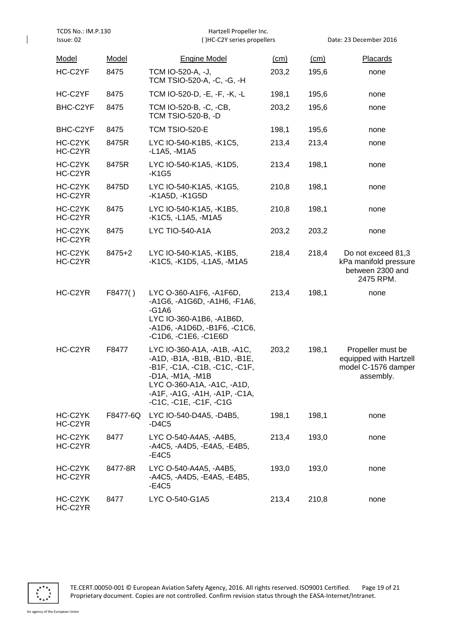| TCDS No.: IM.P.130 | Hartzell Propeller Inc.  |  |  |
|--------------------|--------------------------|--|--|
| Tecua: 02          | (14C-COV caries propelle |  |  |

 $\overline{\phantom{a}}$ 

| Issue: 02 |                    |          |                                                                                                                                                                                                            | ()HC-C2Y series propellers |       | Date: 23 December 2016                                                          |  |
|-----------|--------------------|----------|------------------------------------------------------------------------------------------------------------------------------------------------------------------------------------------------------------|----------------------------|-------|---------------------------------------------------------------------------------|--|
|           | Model              | Model    | <b>Engine Model</b>                                                                                                                                                                                        | (cm)                       | (cm)  | Placards                                                                        |  |
|           | HC-C2YF            | 8475     | TCM IO-520-A, -J,<br>TCM TSIO-520-A, -C, -G, -H                                                                                                                                                            | 203,2                      | 195,6 | none                                                                            |  |
|           | HC-C2YF            | 8475     | TCM IO-520-D, -E, -F, -K, -L                                                                                                                                                                               | 198,1                      | 195,6 | none                                                                            |  |
|           | BHC-C2YF           | 8475     | TCM IO-520-B, -C, -CB,<br><b>TCM TSIO-520-B, -D</b>                                                                                                                                                        | 203,2                      | 195,6 | none                                                                            |  |
|           | BHC-C2YF           | 8475     | TCM TSIO-520-E                                                                                                                                                                                             | 198,1                      | 195,6 | none                                                                            |  |
|           | HC-C2YK<br>HC-C2YR | 8475R    | LYC IO-540-K1B5, -K1C5,<br>$-L1A5, -M1A5$                                                                                                                                                                  | 213,4                      | 213,4 | none                                                                            |  |
|           | HC-C2YK<br>HC-C2YR | 8475R    | LYC IO-540-K1A5, -K1D5,<br>-K1G5                                                                                                                                                                           | 213,4                      | 198,1 | none                                                                            |  |
|           | HC-C2YK<br>HC-C2YR | 8475D    | LYC IO-540-K1A5, -K1G5,<br>-K1A5D, -K1G5D                                                                                                                                                                  | 210,8                      | 198,1 | none                                                                            |  |
|           | HC-C2YK<br>HC-C2YR | 8475     | LYC IO-540-K1A5, -K1B5,<br>-K1C5, -L1A5, -M1A5                                                                                                                                                             | 210,8                      | 198,1 | none                                                                            |  |
|           | HC-C2YK<br>HC-C2YR | 8475     | <b>LYC TIO-540-A1A</b>                                                                                                                                                                                     | 203,2                      | 203,2 | none                                                                            |  |
|           | HC-C2YK<br>HC-C2YR | 8475+2   | LYC IO-540-K1A5, -K1B5,<br>-K1C5, -K1D5, -L1A5, -M1A5                                                                                                                                                      | 218,4                      | 218,4 | Do not exceed 81,3<br>kPa manifold pressure<br>between 2300 and<br>2475 RPM.    |  |
|           | HC-C2YR            | F8477()  | LYC O-360-A1F6, -A1F6D,<br>-A1G6, -A1G6D, -A1H6, -F1A6,<br>$-G1A6$<br>LYC IO-360-A1B6, -A1B6D,<br>-A1D6, -A1D6D, -B1F6, -C1C6,<br>-C1D6, -C1E6, -C1E6D                                                     | 213,4                      | 198,1 | none                                                                            |  |
|           | HC-C2YR            | F8477    | LYC IO-360-A1A, -A1B, -A1C,<br>-A1D, -B1A, -B1B, -B1D, -B1E,<br>-B1F, -C1A, -C1B, -C1C, -C1F,<br>-D1A, -M1A, -M1B<br>LYC O-360-A1A, -A1C, -A1D,<br>-A1F, -A1G, -A1H, -A1P, -C1A,<br>-C1C, -C1E, -C1F, -C1G | 203,2                      | 198,1 | Propeller must be<br>equipped with Hartzell<br>model C-1576 damper<br>assembly. |  |
|           | HC-C2YK<br>HC-C2YR | F8477-6Q | LYC IO-540-D4A5, -D4B5,<br>-D4C5                                                                                                                                                                           | 198,1                      | 198,1 | none                                                                            |  |
|           | HC-C2YK<br>HC-C2YR | 8477     | LYC O-540-A4A5, -A4B5,<br>-A4C5, -A4D5, -E4A5, -E4B5,<br>$-E4C5$                                                                                                                                           | 213,4                      | 193,0 | none                                                                            |  |
|           | HC-C2YK<br>HC-C2YR | 8477-8R  | LYC O-540-A4A5, -A4B5,<br>-A4C5, -A4D5, -E4A5, -E4B5,<br>$-E4C5$                                                                                                                                           | 193,0                      | 193,0 | none                                                                            |  |
|           | HC-C2YK<br>HC-C2YR | 8477     | LYC O-540-G1A5                                                                                                                                                                                             | 213,4                      | 210,8 | none                                                                            |  |



TE.CERT.00050‐001 © European Aviation Safety Agency, 2016. All rights reserved. ISO9001 Certified. Page 19 of 21 Proprietary document. Copies are not controlled. Confirm revision status through the EASA‐Internet/Intranet.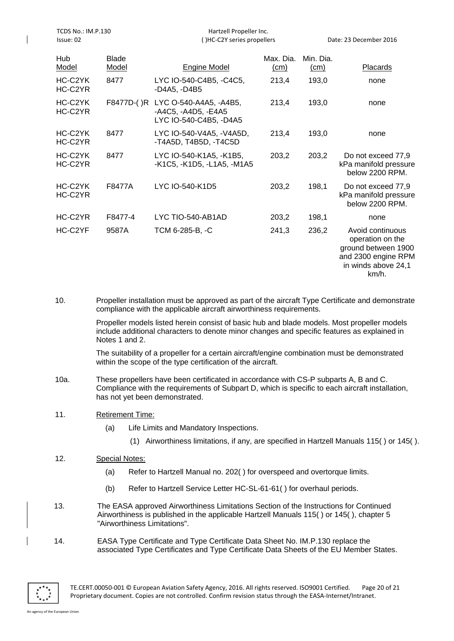| Hub<br>Model       | <b>Blade</b><br>Model | Engine Model                                                            | Max. Dia.<br>(cm) | Min. Dia.<br>(cm) | Placards                                                                                                           |
|--------------------|-----------------------|-------------------------------------------------------------------------|-------------------|-------------------|--------------------------------------------------------------------------------------------------------------------|
| HC-C2YK<br>HC-C2YR | 8477                  | LYC IO-540-C4B5, -C4C5,<br>-D4A5, -D4B5                                 | 213,4             | 193,0             | none                                                                                                               |
| HC-C2YK<br>HC-C2YR | F8477D-()R            | LYC O-540-A4A5, -A4B5,<br>-A4C5, -A4D5, -E4A5<br>LYC IO-540-C4B5, -D4A5 | 213,4             | 193,0             | none                                                                                                               |
| HC-C2YK<br>HC-C2YR | 8477                  | LYC IO-540-V4A5, -V4A5D,<br>-T4A5D, T4B5D, -T4C5D                       | 213,4             | 193,0             | none                                                                                                               |
| HC-C2YK<br>HC-C2YR | 8477                  | LYC IO-540-K1A5, -K1B5,<br>-K1C5, -K1D5, -L1A5, -M1A5                   | 203,2             | 203,2             | Do not exceed 77,9<br>kPa manifold pressure<br>below 2200 RPM.                                                     |
| HC-C2YK<br>HC-C2YR | F8477A                | LYC IO-540-K1D5                                                         | 203,2             | 198,1             | Do not exceed 77,9<br>kPa manifold pressure<br>below 2200 RPM.                                                     |
| HC-C2YR            | F8477-4               | LYC TIO-540-AB1AD                                                       | 203,2             | 198,1             | none                                                                                                               |
| HC-C2YF            | 9587A                 | TCM 6-285-B, -C                                                         | 241,3             | 236,2             | Avoid continuous<br>operation on the<br>ground between 1900<br>and 2300 engine RPM<br>in winds above 24,1<br>km/h. |

10. Propeller installation must be approved as part of the aircraft Type Certificate and demonstrate compliance with the applicable aircraft airworthiness requirements.

> Propeller models listed herein consist of basic hub and blade models. Most propeller models include additional characters to denote minor changes and specific features as explained in Notes 1 and 2.

 The suitability of a propeller for a certain aircraft/engine combination must be demonstrated within the scope of the type certification of the aircraft.

10a. These propellers have been certificated in accordance with CS-P subparts A, B and C. Compliance with the requirements of Subpart D, which is specific to each aircraft installation, has not yet been demonstrated.

#### 11. Retirement Time:

- (a) Life Limits and Mandatory Inspections.
	- (1) Airworthiness limitations, if any, are specified in Hartzell Manuals 115( ) or 145( ).

#### 12. Special Notes:

- (a) Refer to Hartzell Manual no. 202( ) for overspeed and overtorque limits.
- (b) Refer to Hartzell Service Letter HC-SL-61-61( ) for overhaul periods.
- 13. The EASA approved Airworthiness Limitations Section of the Instructions for Continued Airworthiness is published in the applicable Hartzell Manuals 115( ) or 145( ), chapter 5 "Airworthiness Limitations".
- 14. EASA Type Certificate and Type Certificate Data Sheet No. IM.P.130 replace the associated Type Certificates and Type Certificate Data Sheets of the EU Member States.



TE.CERT.00050‐001 © European Aviation Safety Agency, 2016. All rights reserved. ISO9001 Certified. Page 20 of 21 Proprietary document. Copies are not controlled. Confirm revision status through the EASA‐Internet/Intranet.